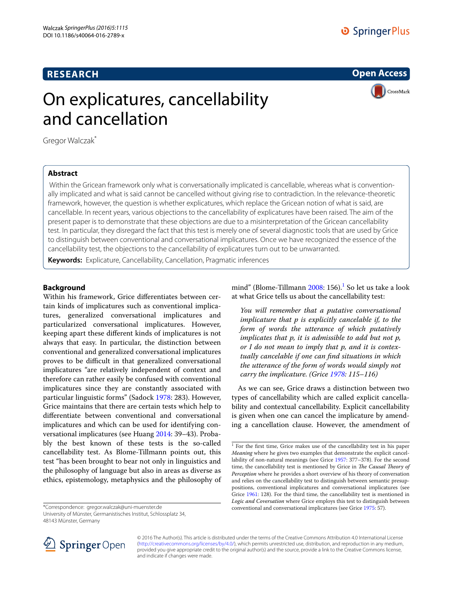# **RESEARCH**

**Open Access**

**CrossMark** 

# On explicatures, cancellability and cancellation

Gregor Walczak\*

## **Abstract**

 Within the Gricean framework only what is conversationally implicated is cancellable, whereas what is conventionally implicated and what is said cannot be cancelled without giving rise to contradiction. In the relevance-theoretic framework, however, the question is whether explicatures, which replace the Gricean notion of what is said, are cancellable. In recent years, various objections to the cancellability of explicatures have been raised. The aim of the present paper is to demonstrate that these objections are due to a misinterpretation of the Gricean cancellability test. In particular, they disregard the fact that this test is merely one of several diagnostic tools that are used by Grice to distinguish between conventional and conversational implicatures. Once we have recognized the essence of the cancellability test, the objections to the cancellability of explicatures turn out to be unwarranted.

**Keywords:** Explicature, Cancellability, Cancellation, Pragmatic inferences

## **Background**

Within his framework, Grice differentiates between certain kinds of implicatures such as conventional implicatures, generalized conversational implicatures and particularized conversational implicatures. However, keeping apart these different kinds of implicatures is not always that easy. In particular, the distinction between conventional and generalized conversational implicatures proves to be difficult in that generalized conversational implicatures "are relatively independent of context and therefore can rather easily be confused with conventional implicatures since they are constantly associated with particular linguistic forms" (Sadock [1978](#page-5-0): 283). However, Grice maintains that there are certain tests which help to differentiate between conventional and conversational implicatures and which can be used for identifying conversational implicatures (see Huang [2014:](#page-5-1) 39–43). Probably the best known of these tests is the so-called cancellability test. As Blome-Tillmann points out, this test "has been brought to bear not only in linguistics and the philosophy of language but also in areas as diverse as ethics, epistemology, metaphysics and the philosophy of

\*Correspondence: gregor.walczak@uni-muenster.de

University of Münster, Germanistisches Institut, Schlossplatz 34, 48143 Münster, Germany

mind" (Blome-Tillmann [2008:](#page-5-2) [1](#page-0-0)56).<sup>1</sup> So let us take a look at what Grice tells us about the cancellability test:

*You will remember that a putative conversational implicature that p is explicitly cancelable if, to the form of words the utterance of which putatively implicates that p, it is admissible to add but not p, or I do not mean to imply that p, and it is contextually cancelable if one can find situations in which the utterance of the form of words would simply not carry the implicature. (Grice [1978:](#page-5-3) 115–116)*

As we can see, Grice draws a distinction between two types of cancellability which are called explicit cancellability and contextual cancellability. Explicit cancellability is given when one can cancel the implicature by amending a cancellation clause. However, the amendment of



© 2016 The Author(s). This article is distributed under the terms of the Creative Commons Attribution 4.0 International License [\(http://creativecommons.org/licenses/by/4.0/\)](http://creativecommons.org/licenses/by/4.0/), which permits unrestricted use, distribution, and reproduction in any medium, provided you give appropriate credit to the original author(s) and the source, provide a link to the Creative Commons license, and indicate if changes were made.

<span id="page-0-0"></span><sup>&</sup>lt;sup>1</sup> For the first time, Grice makes use of the cancellability test in his paper *Meaning* where he gives two examples that demonstrate the explicit cancellability of non-natural meanings (see Grice [1957](#page-5-4): 377–378). For the second time, the cancellability test is mentioned by Grice in *The Causal Theory of Perception* where he provides a short overview of his theory of conversation and relies on the cancellability test to distinguish between semantic presuppositions, conventional implicatures and conversational implicatures (see Grice [1961:](#page-5-5) 128). For the third time, the cancellability test is mentioned in *Logic and Coversation* where Grice employs this test to distinguish between conventional and conversational implicatures (see Grice [1975:](#page-5-6) 57).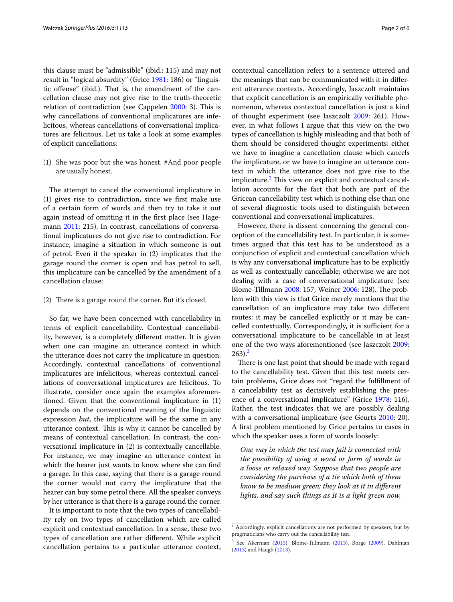this clause must be "admissible" (ibid.: 115) and may not result in "logical absurdity" (Grice [1981:](#page-5-7) 186) or "linguistic offense" (ibid.). That is, the amendment of the cancellation clause may not give rise to the truth-theoretic relation of contradiction (see Cappelen [2000:](#page-5-8) 3). This is why cancellations of conventional implicatures are infelicitous, whereas cancellations of conversational implicatures are felicitous. Let us take a look at some examples of explicit cancellations:

(1) She was poor but she was honest. #And poor people are usually honest.

The attempt to cancel the conventional implicature in (1) gives rise to contradiction, since we first make use of a certain form of words and then try to take it out again instead of omitting it in the first place (see Hage-mann [2011](#page-5-9): 215). In contrast, cancellations of conversational implicatures do not give rise to contradiction. For instance, imagine a situation in which someone is out of petrol. Even if the speaker in (2) implicates that the garage round the corner is open and has petrol to sell, this implicature can be cancelled by the amendment of a cancellation clause:

#### (2) There is a garage round the corner. But it's closed.

So far, we have been concerned with cancellability in terms of explicit cancellability. Contextual cancellability, however, is a completely different matter. It is given when one can imagine an utterance context in which the utterance does not carry the implicature in question. Accordingly, contextual cancellations of conventional implicatures are infelicitous, whereas contextual cancellations of conversational implicatures are felicitous. To illustrate, consider once again the examples aforementioned. Given that the conventional implicature in (1) depends on the conventional meaning of the linguistic expression *but*, the implicature will be the same in any utterance context. This is why it cannot be cancelled by means of contextual cancellation. In contrast, the conversational implicature in (2) is contextually cancellable. For instance, we may imagine an utterance context in which the hearer just wants to know where she can find a garage. In this case, saying that there is a garage round the corner would not carry the implicature that the hearer can buy some petrol there. All the speaker conveys by her utterance is that there is a garage round the corner.

It is important to note that the two types of cancellability rely on two types of cancellation which are called explicit and contextual cancellation. In a sense, these two types of cancellation are rather different. While explicit cancellation pertains to a particular utterance context, contextual cancellation refers to a sentence uttered and the meanings that can be communicated with it in different utterance contexts. Accordingly, Jaszczolt maintains that explicit cancellation is an empirically verifiable phenomenon, whereas contextual cancellation is just a kind of thought experiment (see Jaszczolt [2009](#page-5-10): 261). However, in what follows I argue that this view on the two types of cancellation is highly misleading and that both of them should be considered thought experiments: either we have to imagine a cancellation clause which cancels the implicature, or we have to imagine an utterance context in which the utterance does not give rise to the implicature.<sup>[2](#page-1-0)</sup> This view on explicit and contextual cancellation accounts for the fact that both are part of the Gricean cancellability test which is nothing else than one of several diagnostic tools used to distinguish between conventional and conversational implicatures.

However, there is dissent concerning the general conception of the cancellability test. In particular, it is sometimes argued that this test has to be understood as a conjunction of explicit and contextual cancellation which is why any conversational implicature has to be explicitly as well as contextually cancellable; otherwise we are not dealing with a case of conversational implicature (see Blome-Tillmann [2008:](#page-5-2) 157; Weiner [2006](#page-5-11): 128). The problem with this view is that Grice merely mentions that the cancellation of an implicature may take two different routes: it may be cancelled explicitly or it may be cancelled contextually. Correspondingly, it is sufficient for a conversational implicature to be cancellable in at least one of the two ways aforementioned (see Jaszczolt [2009](#page-5-10):  $263$  $263$ ).<sup>3</sup>

There is one last point that should be made with regard to the cancellability test. Given that this test meets certain problems, Grice does not "regard the fulfillment of a cancelability test as decisively establishing the presence of a conversational implicature" (Grice [1978:](#page-5-3) 116). Rather, the test indicates that we are possibly dealing with a conversational implicature (see Geurts [2010:](#page-5-12) 20). A first problem mentioned by Grice pertains to cases in which the speaker uses a form of words loosely:

*One way in which the test may fail is connected with the possibility of using a word or form of words in a loose or relaxed way. Suppose that two people are considering the purchase of a tie which both of them know to be medium green; they look at it in different lights, and say such things as It is a light green now,* 

<span id="page-1-0"></span> $\frac{2}{3}$  Accordingly, explicit cancellations are not performed by speakers, but by pragmaticians who carry out the cancellability test.

<span id="page-1-1"></span><sup>3</sup> See Akerman ([2015\)](#page-4-0), Blome-Tillmann [\(2013\)](#page-5-13), Borge [\(2009](#page-5-14)), Dahlman [\(2013\)](#page-5-15) and Haugh [\(2013\)](#page-5-16).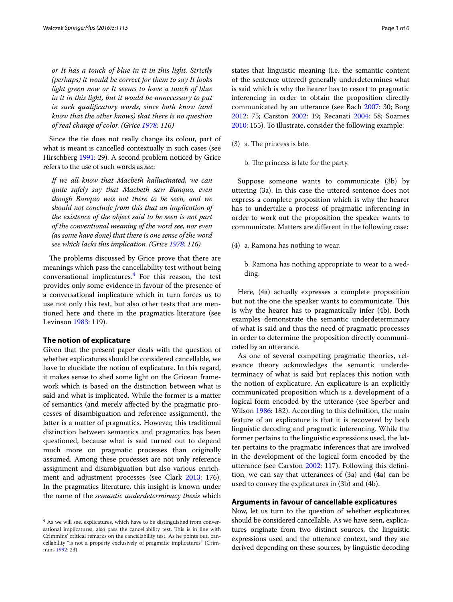*or It has a touch of blue in it in this light. Strictly (perhaps) it would be correct for them to say It looks light green now or It seems to have a touch of blue in it in this light, but it would be unnecessary to put in such qualificatory words, since both know (and know that the other knows) that there is no question of real change of color. (Grice [1978](#page-5-3): 116)*

Since the tie does not really change its colour, part of what is meant is cancelled contextually in such cases (see Hirschberg [1991](#page-5-17): 29). A second problem noticed by Grice refers to the use of such words as *see*:

*If we all know that Macbeth hallucinated, we can quite safely say that Macbeth saw Banquo, even though Banquo was not there to be seen, and we should not conclude from this that an implication of the existence of the object said to be seen is not part of the conventional meaning of the word see, nor even (as some have done) that there is one sense of the word see which lacks this implication. (Grice [1978:](#page-5-3) 116)*

The problems discussed by Grice prove that there are meanings which pass the cancellability test without being conversational implicatures[.4](#page-2-0) For this reason, the test provides only some evidence in favour of the presence of a conversational implicature which in turn forces us to use not only this test, but also other tests that are mentioned here and there in the pragmatics literature (see Levinson [1983](#page-5-18): 119).

## **The notion of explicature**

Given that the present paper deals with the question of whether explicatures should be considered cancellable, we have to elucidate the notion of explicature. In this regard, it makes sense to shed some light on the Gricean framework which is based on the distinction between what is said and what is implicated. While the former is a matter of semantics (and merely affected by the pragmatic processes of disambiguation and reference assignment), the latter is a matter of pragmatics. However, this traditional distinction between semantics and pragmatics has been questioned, because what is said turned out to depend much more on pragmatic processes than originally assumed. Among these processes are not only reference assignment and disambiguation but also various enrichment and adjustment processes (see Clark [2013:](#page-5-19) 176). In the pragmatics literature, this insight is known under the name of the *semantic underdeterminacy thesis* which states that linguistic meaning (i.e. the semantic content of the sentence uttered) generally underdetermines what is said which is why the hearer has to resort to pragmatic inferencing in order to obtain the proposition directly communicated by an utterance (see Bach [2007](#page-5-21): 30; Borg [2012](#page-5-22): 75; Carston [2002](#page-5-23): 19; Recanati [2004:](#page-5-24) 58; Soames [2010](#page-5-25): 155). To illustrate, consider the following example:

- (3) a. The princess is late.
	- b. The princess is late for the party.

Suppose someone wants to communicate (3b) by uttering (3a). In this case the uttered sentence does not express a complete proposition which is why the hearer has to undertake a process of pragmatic inferencing in order to work out the proposition the speaker wants to communicate. Matters are different in the following case:

(4) a. Ramona has nothing to wear.

b. Ramona has nothing appropriate to wear to a wedding.

Here, (4a) actually expresses a complete proposition but not the one the speaker wants to communicate. This is why the hearer has to pragmatically infer (4b). Both examples demonstrate the semantic underdeterminacy of what is said and thus the need of pragmatic processes in order to determine the proposition directly communicated by an utterance.

As one of several competing pragmatic theories, relevance theory acknowledges the semantic underdeterminacy of what is said but replaces this notion with the notion of explicature. An explicature is an explicitly communicated proposition which is a development of a logical form encoded by the utterance (see Sperber and Wilson [1986](#page-5-26): 182). According to this definition, the main feature of an explicature is that it is recovered by both linguistic decoding and pragmatic inferencing. While the former pertains to the linguistic expressions used, the latter pertains to the pragmatic inferences that are involved in the development of the logical form encoded by the utterance (see Carston [2002](#page-5-23): 117). Following this definition, we can say that utterances of (3a) and (4a) can be used to convey the explicatures in (3b) and (4b).

## **Arguments in favour of cancellable explicatures**

Now, let us turn to the question of whether explicatures should be considered cancellable. As we have seen, explicatures originate from two distinct sources, the linguistic expressions used and the utterance context, and they are derived depending on these sources, by linguistic decoding

<span id="page-2-0"></span> $^4$  As we will see, explicatures, which have to be distinguished from conversational implicatures, also pass the cancellability test. This is in line with Crimmins' critical remarks on the cancellability test. As he points out, cancellability "is not a property exclusively of pragmatic implicatures" (Crimmins [1992](#page-5-20): 23).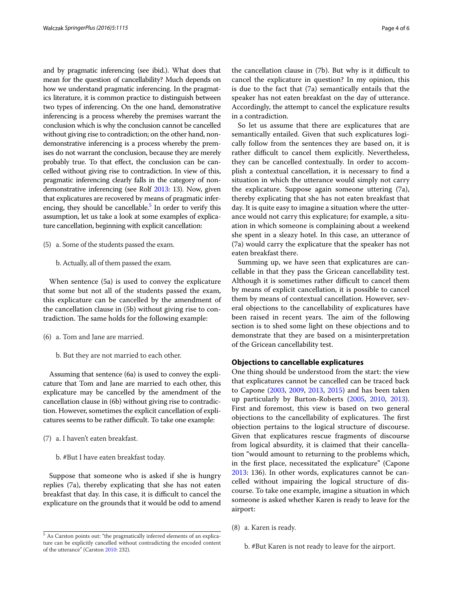and by pragmatic inferencing (see ibid.). What does that mean for the question of cancellability? Much depends on how we understand pragmatic inferencing. In the pragmatics literature, it is common practice to distinguish between two types of inferencing. On the one hand, demonstrative inferencing is a process whereby the premises warrant the conclusion which is why the conclusion cannot be cancelled without giving rise to contradiction; on the other hand, nondemonstrative inferencing is a process whereby the premises do not warrant the conclusion, because they are merely probably true. To that effect, the conclusion can be cancelled without giving rise to contradiction. In view of this, pragmatic inferencing clearly falls in the category of nondemonstrative inferencing (see Rolf [2013:](#page-5-27) 13). Now, given that explicatures are recovered by means of pragmatic inferencing, they should be cancellable.<sup>5</sup> In order to verify this assumption, let us take a look at some examples of explicature cancellation, beginning with explicit cancellation:

- (5) a. Some of the students passed the exam.
	- b. Actually, all of them passed the exam.

When sentence (5a) is used to convey the explicature that some but not all of the students passed the exam, this explicature can be cancelled by the amendment of the cancellation clause in (5b) without giving rise to contradiction. The same holds for the following example:

- (6) a. Tom and Jane are married.
	- b. But they are not married to each other.

Assuming that sentence (6a) is used to convey the explicature that Tom and Jane are married to each other, this explicature may be cancelled by the amendment of the cancellation clause in (6b) without giving rise to contradiction. However, sometimes the explicit cancellation of explicatures seems to be rather difficult. To take one example:

- (7) a. I haven't eaten breakfast.
	- b. #But I have eaten breakfast today.

Suppose that someone who is asked if she is hungry replies (7a), thereby explicating that she has not eaten breakfast that day. In this case, it is difficult to cancel the explicature on the grounds that it would be odd to amend the cancellation clause in (7b). But why is it difficult to cancel the explicature in question? In my opinion, this is due to the fact that (7a) semantically entails that the speaker has not eaten breakfast on the day of utterance. Accordingly, the attempt to cancel the explicature results in a contradiction.

So let us assume that there are explicatures that are semantically entailed. Given that such explicatures logically follow from the sentences they are based on, it is rather difficult to cancel them explicitly. Nevertheless, they can be cancelled contextually. In order to accomplish a contextual cancellation, it is necessary to find a situation in which the utterance would simply not carry the explicature. Suppose again someone uttering (7a), thereby explicating that she has not eaten breakfast that day. It is quite easy to imagine a situation where the utterance would not carry this explicature; for example, a situation in which someone is complaining about a weekend she spent in a sleazy hotel. In this case, an utterance of (7a) would carry the explicature that the speaker has not eaten breakfast there.

Summing up, we have seen that explicatures are cancellable in that they pass the Gricean cancellability test. Although it is sometimes rather difficult to cancel them by means of explicit cancellation, it is possible to cancel them by means of contextual cancellation. However, several objections to the cancellability of explicatures have been raised in recent years. The aim of the following section is to shed some light on these objections and to demonstrate that they are based on a misinterpretation of the Gricean cancellability test.

### **Objections to cancellable explicatures**

One thing should be understood from the start: the view that explicatures cannot be cancelled can be traced back to Capone ([2003](#page-5-29), [2009,](#page-5-30) [2013](#page-5-31), [2015](#page-5-32)) and has been taken up particularly by Burton-Roberts ([2005](#page-5-33), [2010](#page-5-34), [2013](#page-5-35)). First and foremost, this view is based on two general objections to the cancellability of explicatures. The first objection pertains to the logical structure of discourse. Given that explicatures rescue fragments of discourse from logical absurdity, it is claimed that their cancellation "would amount to returning to the problems which, in the first place, necessitated the explicature" (Capone [2013](#page-5-31): 136). In other words, explicatures cannot be cancelled without impairing the logical structure of discourse. To take one example, imagine a situation in which someone is asked whether Karen is ready to leave for the airport:

(8) a. Karen is ready.

<span id="page-3-0"></span><sup>5</sup> As Carston points out: "the pragmatically inferred elements of an explicature can be explicitly cancelled without contradicting the encoded content of the utterance" (Carston [2010](#page-5-28): 232).

b. #But Karen is not ready to leave for the airport.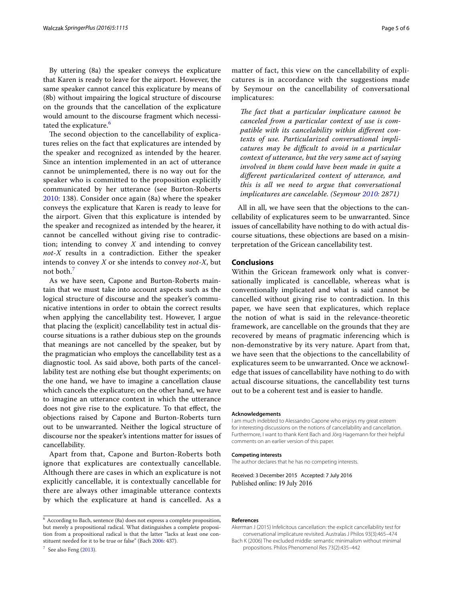By uttering (8a) the speaker conveys the explicature that Karen is ready to leave for the airport. However, the same speaker cannot cancel this explicature by means of (8b) without impairing the logical structure of discourse on the grounds that the cancellation of the explicature would amount to the discourse fragment which necessi-tated the explicature.<sup>[6](#page-4-1)</sup>

The second objection to the cancellability of explicatures relies on the fact that explicatures are intended by the speaker and recognized as intended by the hearer. Since an intention implemented in an act of utterance cannot be unimplemented, there is no way out for the speaker who is committed to the proposition explicitly communicated by her utterance (see Burton-Roberts [2010:](#page-5-34) 138). Consider once again (8a) where the speaker conveys the explicature that Karen is ready to leave for the airport. Given that this explicature is intended by the speaker and recognized as intended by the hearer, it cannot be cancelled without giving rise to contradiction; intending to convey *X* and intending to convey *not*-*X* results in a contradiction. Either the speaker intends to convey *X* or she intends to convey *not*-*X*, but not both.<sup>[7](#page-4-2)</sup>

As we have seen, Capone and Burton-Roberts maintain that we must take into account aspects such as the logical structure of discourse and the speaker's communicative intentions in order to obtain the correct results when applying the cancellability test. However, I argue that placing the (explicit) cancellability test in actual discourse situations is a rather dubious step on the grounds that meanings are not cancelled by the speaker, but by the pragmatician who employs the cancellability test as a diagnostic tool. As said above, both parts of the cancellability test are nothing else but thought experiments; on the one hand, we have to imagine a cancellation clause which cancels the explicature; on the other hand, we have to imagine an utterance context in which the utterance does not give rise to the explicature. To that effect, the objections raised by Capone and Burton-Roberts turn out to be unwarranted. Neither the logical structure of discourse nor the speaker's intentions matter for issues of cancellability.

Apart from that, Capone and Burton-Roberts both ignore that explicatures are contextually cancellable. Although there are cases in which an explicature is not explicitly cancellable, it is contextually cancellable for there are always other imaginable utterance contexts by which the explicature at hand is cancelled. As a

matter of fact, this view on the cancellability of explicatures is in accordance with the suggestions made by Seymour on the cancellability of conversational implicatures:

*The fact that a particular implicature cannot be canceled from a particular context of use is compatible with its cancelability within different contexts of use. Particularized conversational implicatures may be difficult to avoid in a particular context of utterance, but the very same act of saying involved in them could have been made in quite a different particularized context of utterance, and this is all we need to argue that conversational implicatures are cancelable. (Seymour [2010:](#page-5-37) 2871)*

All in all, we have seen that the objections to the cancellability of explicatures seem to be unwarranted. Since issues of cancellability have nothing to do with actual discourse situations, these objections are based on a misinterpretation of the Gricean cancellability test.

## **Conclusions**

Within the Gricean framework only what is conversationally implicated is cancellable, whereas what is conventionally implicated and what is said cannot be cancelled without giving rise to contradiction. In this paper, we have seen that explicatures, which replace the notion of what is said in the relevance-theoretic framework, are cancellable on the grounds that they are recovered by means of pragmatic inferencing which is non-demonstrative by its very nature. Apart from that, we have seen that the objections to the cancellability of explicatures seem to be unwarranted. Once we acknowledge that issues of cancellability have nothing to do with actual discourse situations, the cancellability test turns out to be a coherent test and is easier to handle.

#### **Acknowledgements**

I am much indebted to Alessandro Capone who enjoys my great esteem for interesting discussions on the notions of cancellability and cancellation. Furthermore, I want to thank Kent Bach and Jörg Hagemann for their helpful comments on an earlier version of this paper.

#### **Competing interests**

The author declares that he has no competing interests.

Received: 3 December 2015 Accepted: 7 July 2016 Published online: 19 July 2016

#### **References**

<span id="page-4-2"></span><span id="page-4-1"></span> $\overline{6}$  According to Bach, sentence (8a) does not express a complete proposition, but merely a propositional radical. What distinguishes a complete proposition from a propositional radical is that the latter "lacks at least one constituent needed for it to be true or false" (Bach [2006](#page-4-3): 437).

<span id="page-4-0"></span>Akerman J (2015) Infelicitous cancellation: the explicit cancellability test for conversational implicature revisited. Australas J Philos 93(3):465–474

<span id="page-4-3"></span>Bach K (2006) The excluded middle: semantic minimalism without minimal propositions. Philos Phenomenol Res 73(2):435–442